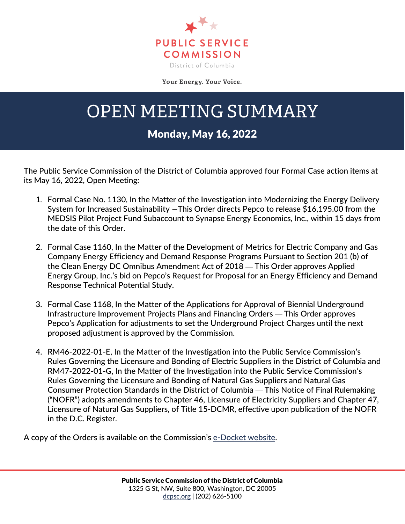

Your Energy. Your Voice.

## OPEN MEETING SUMMARY

## Monday, May 16, 2022

The Public Service Commission of the District of Columbia approved four Formal Case action items at its May 16, 2022, Open Meeting:

- 1. Formal Case No. 1130, In the Matter of the Investigation into Modernizing the Energy Delivery System for Increased Sustainability —This Order directs Pepco to release \$16,195.00 from the MEDSIS Pilot Project Fund Subaccount to Synapse Energy Economics, Inc., within 15 days from the date of this Order.
- 2. Formal Case 1160, In the Matter of the Development of Metrics for Electric Company and Gas Company Energy Efficiency and Demand Response Programs Pursuant to Section 201 (b) of the Clean Energy DC Omnibus Amendment Act of 2018 — This Order approves Applied Energy Group, Inc.'s bid on Pepco's Request for Proposal for an Energy Efficiency and Demand Response Technical Potential Study.
- 3. Formal Case 1168, In the Matter of the Applications for Approval of Biennial Underground Infrastructure Improvement Projects Plans and Financing Orders — This Order approves Pepco's Application for adjustments to set the Underground Project Charges until the next proposed adjustment is approved by the Commission.
- 4. RM46-2022-01-E, In the Matter of the Investigation into the Public Service Commission's Rules Governing the Licensure and Bonding of Electric Suppliers in the District of Columbia and RM47-2022-01-G, In the Matter of the Investigation into the Public Service Commission's Rules Governing the Licensure and Bonding of Natural Gas Suppliers and Natural Gas Consumer Protection Standards in the District of Columbia — This Notice of Final Rulemaking ("NOFR") adopts amendments to Chapter 46, Licensure of Electricity Suppliers and Chapter 47, Licensure of Natural Gas Suppliers, of Title 15-DCMR, effective upon publication of the NOFR in the D.C. Register.

A copy of the Orders is available on the Commission's [e-Docket website.](https://edocket.dcpsc.org/public/search)